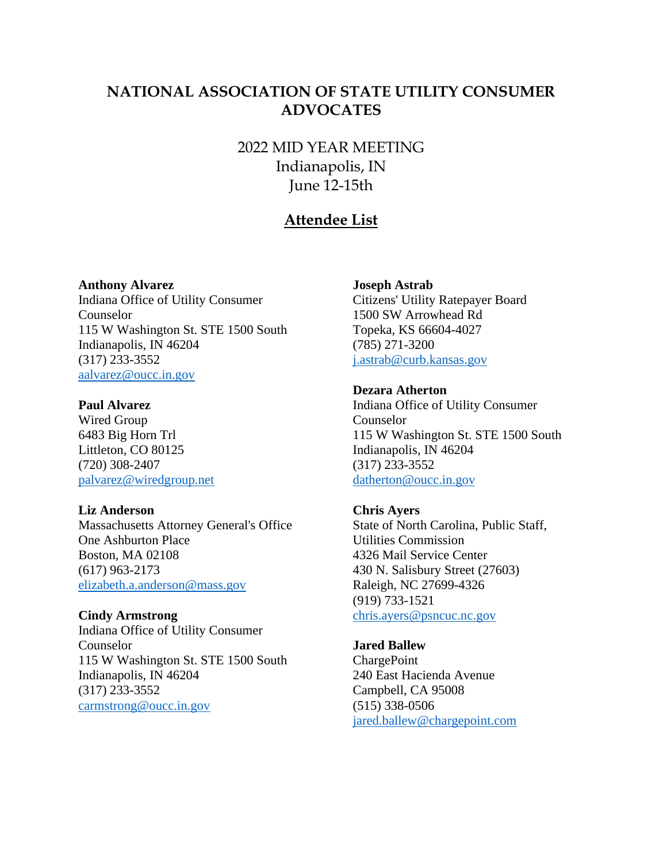# **NATIONAL ASSOCIATION OF STATE UTILITY CONSUMER ADVOCATES**

2022 MID YEAR MEETING Indianapolis, IN June 12-15th

# **Attendee List**

#### **Anthony Alvarez**

Indiana Office of Utility Consumer Counselor 115 W Washington St. STE 1500 South Indianapolis, IN 46204 (317) 233-3552 [aalvarez@oucc.in.gov](mailto:aalvarez@oucc.in.gov)

### **Paul Alvarez**

Wired Group 6483 Big Horn Trl Littleton, CO 80125 (720) 308-2407 [palvarez@wiredgroup.net](mailto:palvarez@wiredgroup.net)

#### **Liz Anderson**

Massachusetts Attorney General's Office One Ashburton Place Boston, MA 02108 (617) 963-2173 [elizabeth.a.anderson@mass.gov](mailto:elizabeth.a.anderson@mass.gov)

### **Cindy Armstrong**

Indiana Office of Utility Consumer Counselor 115 W Washington St. STE 1500 South Indianapolis, IN 46204 (317) 233-3552 [carmstrong@oucc.in.gov](mailto:carmstrong@oucc.in.gov)

### **Joseph Astrab**

Citizens' Utility Ratepayer Board 1500 SW Arrowhead Rd Topeka, KS 66604-4027 (785) 271-3200 [j.astrab@curb.kansas.gov](mailto:j.astrab@curb.kansas.gov)

### **Dezara Atherton**

Indiana Office of Utility Consumer Counselor 115 W Washington St. STE 1500 South Indianapolis, IN 46204 (317) 233-3552 [datherton@oucc.in.gov](mailto:datherton@oucc.in.gov)

### **Chris Ayers**

State of North Carolina, Public Staff, Utilities Commission 4326 Mail Service Center 430 N. Salisbury Street (27603) Raleigh, NC 27699-4326 (919) 733-1521 [chris.ayers@psncuc.nc.gov](mailto:chris.ayers@psncuc.nc.gov)

# **Jared Ballew**

**ChargePoint** 240 East Hacienda Avenue Campbell, CA 95008 (515) 338-0506 [jared.ballew@chargepoint.com](mailto:jared.ballew@chargepoint.com)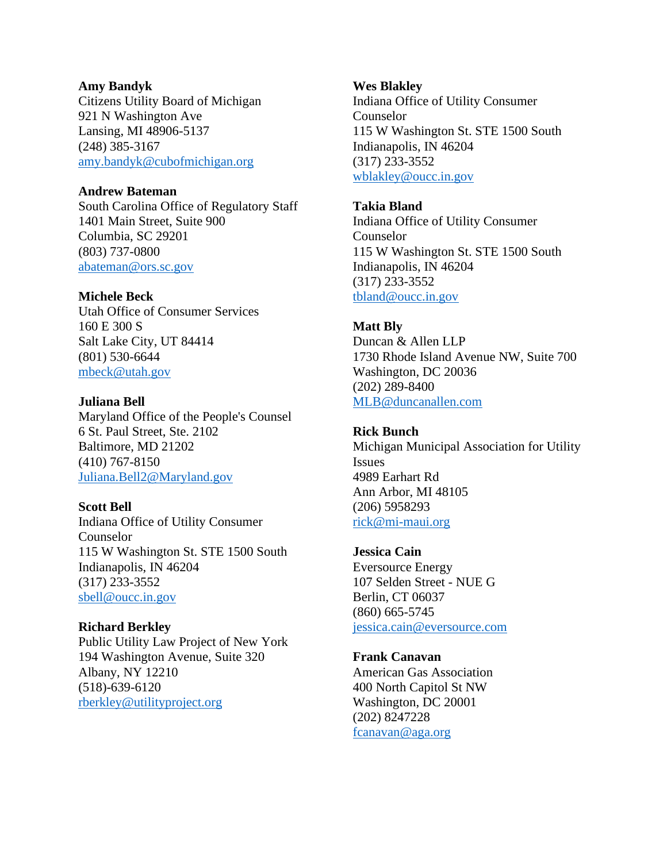### **Amy Bandyk**

Citizens Utility Board of Michigan 921 N Washington Ave Lansing, MI 48906-5137 (248) 385-3167 [amy.bandyk@cubofmichigan.org](mailto:amy.bandyk@cubofmichigan.org)

# **Andrew Bateman**

South Carolina Office of Regulatory Staff 1401 Main Street, Suite 900 Columbia, SC 29201 (803) 737-0800 [abateman@ors.sc.gov](mailto:abateman@ors.sc.gov)

# **Michele Beck**

Utah Office of Consumer Services 160 E 300 S Salt Lake City, UT 84414 (801) 530-6644 [mbeck@utah.gov](mailto:mbeck@utah.gov)

# **Juliana Bell**

Maryland Office of the People's Counsel 6 St. Paul Street, Ste. 2102 Baltimore, MD 21202 (410) 767-8150 [Juliana.Bell2@Maryland.gov](mailto:Juliana.Bell2@Maryland.gov)

# **Scott Bell**

Indiana Office of Utility Consumer Counselor 115 W Washington St. STE 1500 South Indianapolis, IN 46204 (317) 233-3552 [sbell@oucc.in.gov](mailto:sbell@oucc.in.gov)

# **Richard Berkley**

Public Utility Law Project of New York 194 Washington Avenue, Suite 320 Albany, NY 12210 (518)-639-6120 [rberkley@utilityproject.org](mailto:rberkley@utilityproject.org)

# **Wes Blakley**

Indiana Office of Utility Consumer Counselor 115 W Washington St. STE 1500 South Indianapolis, IN 46204 (317) 233-3552 [wblakley@oucc.in.gov](mailto:wblakley@oucc.in.gov)

# **Takia Bland**

Indiana Office of Utility Consumer Counselor 115 W Washington St. STE 1500 South Indianapolis, IN 46204 (317) 233-3552 [tbland@oucc.in.gov](mailto:tbland@oucc.in.gov)

# **Matt Bly**

Duncan & Allen LLP 1730 Rhode Island Avenue NW, Suite 700 Washington, DC 20036 (202) 289-8400 [MLB@duncanallen.com](mailto:MLB@duncanallen.com)

# **Rick Bunch**

Michigan Municipal Association for Utility Issues 4989 Earhart Rd Ann Arbor, MI 48105 (206) 5958293 [rick@mi-maui.org](mailto:rick@mi-maui.org)

# **Jessica Cain**

Eversource Energy 107 Selden Street - NUE G Berlin, CT 06037 (860) 665-5745 [jessica.cain@eversource.com](mailto:jessica.cain@eversource.com)

# **Frank Canavan**

American Gas Association 400 North Capitol St NW Washington, DC 20001 (202) 8247228 [fcanavan@aga.org](mailto:fcanavan@aga.org)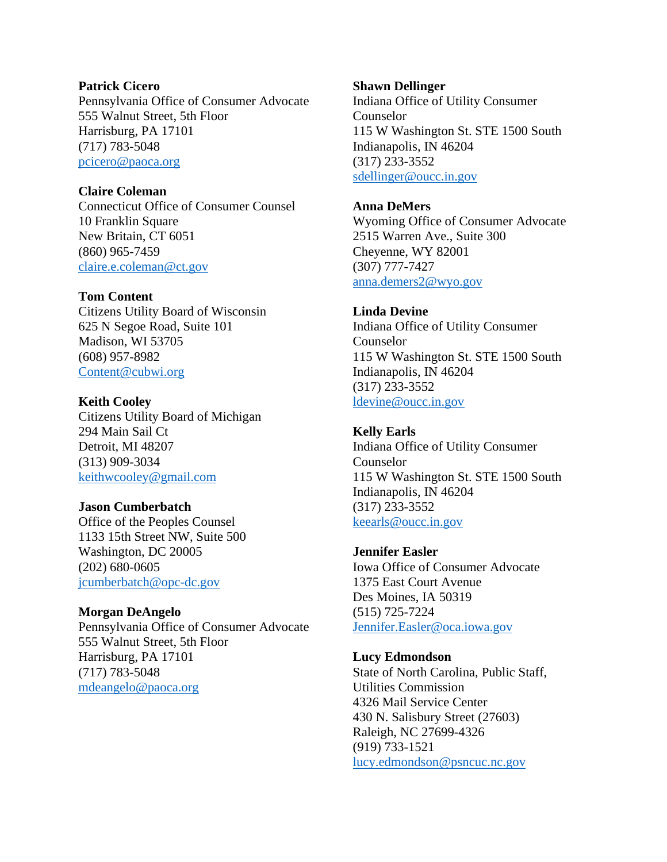### **Patrick Cicero**

Pennsylvania Office of Consumer Advocate 555 Walnut Street, 5th Floor Harrisburg, PA 17101 (717) 783-5048 [pcicero@paoca.org](mailto:pcicero@paoca.org)

# **Claire Coleman**

Connecticut Office of Consumer Counsel 10 Franklin Square New Britain, CT 6051 (860) 965-7459 [claire.e.coleman@ct.gov](mailto:claire.e.coleman@ct.gov)

# **Tom Content**

Citizens Utility Board of Wisconsin 625 N Segoe Road, Suite 101 Madison, WI 53705 (608) 957-8982 [Content@cubwi.org](mailto:Content@cubwi.org)

# **Keith Cooley**

Citizens Utility Board of Michigan 294 Main Sail Ct Detroit, MI 48207 (313) 909-3034 [keithwcooley@gmail.com](mailto:keithwcooley@gmail.com)

# **Jason Cumberbatch**

Office of the Peoples Counsel 1133 15th Street NW, Suite 500 Washington, DC 20005 (202) 680-0605 [jcumberbatch@opc-dc.gov](mailto:jcumberbatch@opc-dc.gov)

# **Morgan DeAngelo**

Pennsylvania Office of Consumer Advocate 555 Walnut Street, 5th Floor Harrisburg, PA 17101 (717) 783-5048 [mdeangelo@paoca.org](mailto:mdeangelo@paoca.org)

# **Shawn Dellinger**

Indiana Office of Utility Consumer Counselor 115 W Washington St. STE 1500 South Indianapolis, IN 46204 (317) 233-3552 [sdellinger@oucc.in.gov](mailto:sdellinger@oucc.in.gov)

# **Anna DeMers**

Wyoming Office of Consumer Advocate 2515 Warren Ave., Suite 300 Cheyenne, WY 82001 (307) 777-7427 [anna.demers2@wyo.gov](mailto:anna.demers2@wyo.gov)

# **Linda Devine**

Indiana Office of Utility Consumer Counselor 115 W Washington St. STE 1500 South Indianapolis, IN 46204 (317) 233-3552 [ldevine@oucc.in.gov](mailto:ldevine@oucc.in.gov)

# **Kelly Earls**

Indiana Office of Utility Consumer Counselor 115 W Washington St. STE 1500 South Indianapolis, IN 46204 (317) 233-3552 [keearls@oucc.in.gov](mailto:keearls@oucc.in.gov)

# **Jennifer Easler**

Iowa Office of Consumer Advocate 1375 East Court Avenue Des Moines, IA 50319 (515) 725-7224 [Jennifer.Easler@oca.iowa.gov](mailto:Jennifer.Easler@oca.iowa.gov)

# **Lucy Edmondson**

State of North Carolina, Public Staff, Utilities Commission 4326 Mail Service Center 430 N. Salisbury Street (27603) Raleigh, NC 27699-4326 (919) 733-1521 [lucy.edmondson@psncuc.nc.gov](mailto:lucy.edmondson@psncuc.nc.gov)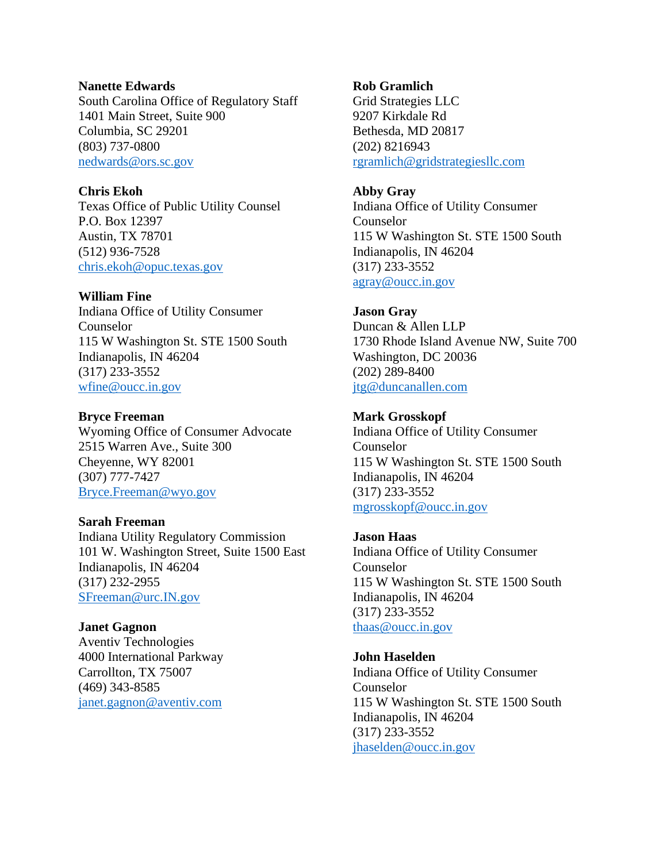### **Nanette Edwards**

South Carolina Office of Regulatory Staff 1401 Main Street, Suite 900 Columbia, SC 29201 (803) 737-0800 [nedwards@ors.sc.gov](mailto:nedwards@ors.sc.gov)

### **Chris Ekoh**

Texas Office of Public Utility Counsel P.O. Box 12397 Austin, TX 78701 (512) 936-7528 [chris.ekoh@opuc.texas.gov](mailto:chris.ekoh@opuc.texas.gov)

### **William Fine**

Indiana Office of Utility Consumer Counselor 115 W Washington St. STE 1500 South Indianapolis, IN 46204 (317) 233-3552 [wfine@oucc.in.gov](mailto:wfine@oucc.in.gov)

### **Bryce Freeman**

Wyoming Office of Consumer Advocate 2515 Warren Ave., Suite 300 Cheyenne, WY 82001 (307) 777-7427 [Bryce.Freeman@wyo.gov](mailto:Bryce.Freeman@wyo.gov)

### **Sarah Freeman**

Indiana Utility Regulatory Commission 101 W. Washington Street, Suite 1500 East Indianapolis, IN 46204 (317) 232-2955 [SFreeman@urc.IN.gov](mailto:SFreeman@urc.IN.gov)

### **Janet Gagnon**

Aventiv Technologies 4000 International Parkway Carrollton, TX 75007 (469) 343-8585 [janet.gagnon@aventiv.com](mailto:janet.gagnon@aventiv.com)

# **Rob Gramlich**

Grid Strategies LLC 9207 Kirkdale Rd Bethesda, MD 20817 (202) 8216943 [rgramlich@gridstrategiesllc.com](mailto:rgramlich@gridstrategiesllc.com)

## **Abby Gray**

Indiana Office of Utility Consumer Counselor 115 W Washington St. STE 1500 South Indianapolis, IN 46204 (317) 233-3552 [agray@oucc.in.gov](mailto:agray@oucc.in.gov)

### **Jason Gray**

Duncan & Allen LLP 1730 Rhode Island Avenue NW, Suite 700 Washington, DC 20036 (202) 289-8400 [jtg@duncanallen.com](mailto:jtg@duncanallen.com)

### **Mark Grosskopf**

Indiana Office of Utility Consumer Counselor 115 W Washington St. STE 1500 South Indianapolis, IN 46204 (317) 233-3552 [mgrosskopf@oucc.in.gov](mailto:mgrosskopf@oucc.in.gov)

### **Jason Haas**

Indiana Office of Utility Consumer Counselor 115 W Washington St. STE 1500 South Indianapolis, IN 46204 (317) 233-3552 [thaas@oucc.in.gov](mailto:thaas@oucc.in.gov)

# **John Haselden**

Indiana Office of Utility Consumer Counselor 115 W Washington St. STE 1500 South Indianapolis, IN 46204 (317) 233-3552 [jhaselden@oucc.in.gov](mailto:jhaselden@oucc.in.gov)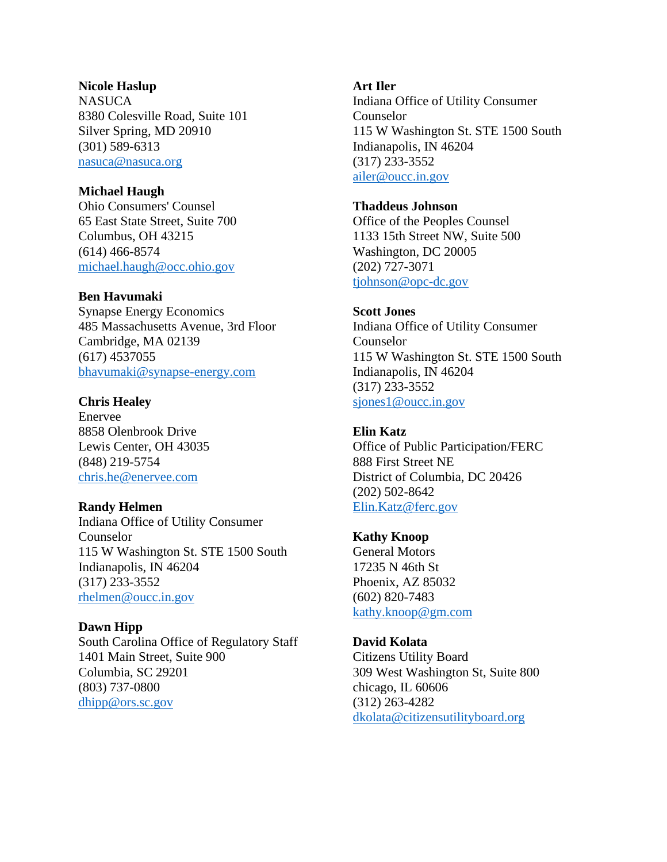### **Nicole Haslup**

**NASUCA** 8380 Colesville Road, Suite 101 Silver Spring, MD 20910 (301) 589-6313 [nasuca@nasuca.org](mailto:nasuca@nasuca.org)

# **Michael Haugh**

Ohio Consumers' Counsel 65 East State Street, Suite 700 Columbus, OH 43215 (614) 466-8574 [michael.haugh@occ.ohio.gov](mailto:michael.haugh@occ.ohio.gov)

### **Ben Havumaki**

Synapse Energy Economics 485 Massachusetts Avenue, 3rd Floor Cambridge, MA 02139 (617) 4537055 [bhavumaki@synapse-energy.com](mailto:bhavumaki@synapse-energy.com)

### **Chris Healey**

Enervee 8858 Olenbrook Drive Lewis Center, OH 43035 (848) 219-5754 [chris.he@enervee.com](mailto:chris.he@enervee.com)

### **Randy Helmen**

Indiana Office of Utility Consumer Counselor 115 W Washington St. STE 1500 South Indianapolis, IN 46204 (317) 233-3552 [rhelmen@oucc.in.gov](mailto:rhelmen@oucc.in.gov)

### **Dawn Hipp**

South Carolina Office of Regulatory Staff 1401 Main Street, Suite 900 Columbia, SC 29201 (803) 737-0800 [dhipp@ors.sc.gov](mailto:dhipp@ors.sc.gov)

### **Art Iler**

Indiana Office of Utility Consumer Counselor 115 W Washington St. STE 1500 South Indianapolis, IN 46204 (317) 233-3552 [ailer@oucc.in.gov](mailto:ailer@oucc.in.gov)

### **Thaddeus Johnson**

Office of the Peoples Counsel 1133 15th Street NW, Suite 500 Washington, DC 20005 (202) 727-3071 [tjohnson@opc-dc.gov](mailto:tjohnson@opc-dc.gov)

### **Scott Jones**

Indiana Office of Utility Consumer Counselor 115 W Washington St. STE 1500 South Indianapolis, IN 46204 (317) 233-3552 [sjones1@oucc.in.gov](mailto:sjones1@oucc.in.gov)

### **Elin Katz**

Office of Public Participation/FERC 888 First Street NE District of Columbia, DC 20426 (202) 502-8642 [Elin.Katz@ferc.gov](mailto:Elin.Katz@ferc.gov)

#### **Kathy Knoop**

General Motors 17235 N 46th St Phoenix, AZ 85032 (602) 820-7483 [kathy.knoop@gm.com](mailto:kathy.knoop@gm.com)

### **David Kolata**

Citizens Utility Board 309 West Washington St, Suite 800 chicago, IL 60606 (312) 263-4282 [dkolata@citizensutilityboard.org](mailto:dkolata@citizensutilityboard.org)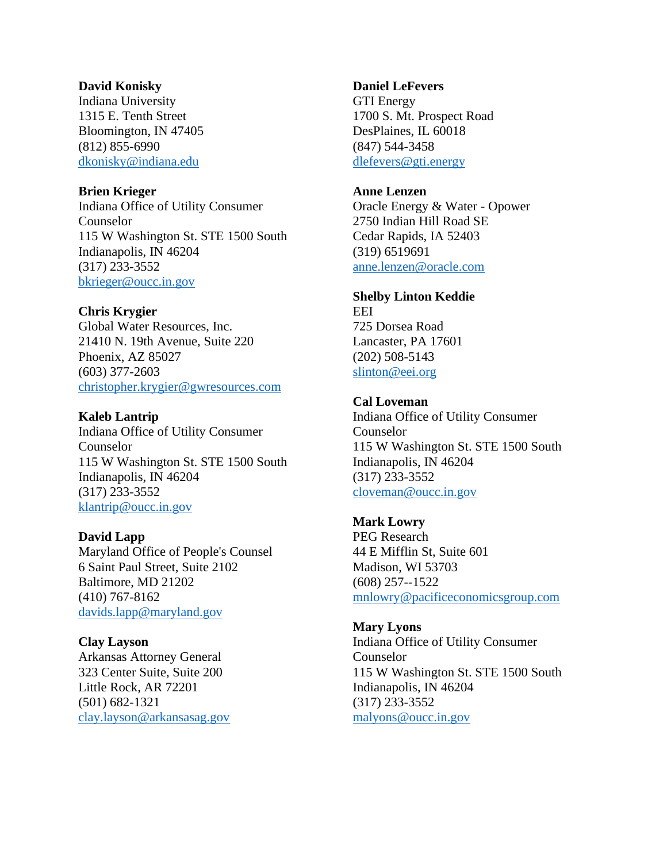### **David Konisky**

Indiana University 1315 E. Tenth Street Bloomington, IN 47405 (812) 855-6990 [dkonisky@indiana.edu](mailto:dkonisky@indiana.edu)

### **Brien Krieger**

Indiana Office of Utility Consumer Counselor 115 W Washington St. STE 1500 South Indianapolis, IN 46204 (317) 233-3552 [bkrieger@oucc.in.gov](mailto:bkrieger@oucc.in.gov)

### **Chris Krygier**

Global Water Resources, Inc. 21410 N. 19th Avenue, Suite 220 Phoenix, AZ 85027 (603) 377-2603 [christopher.krygier@gwresources.com](mailto:christopher.krygier@gwresources.com)

#### **Kaleb Lantrip**

Indiana Office of Utility Consumer Counselor 115 W Washington St. STE 1500 South Indianapolis, IN 46204 (317) 233-3552 [klantrip@oucc.in.gov](mailto:klantrip@oucc.in.gov)

### **David Lapp**

Maryland Office of People's Counsel 6 Saint Paul Street, Suite 2102 Baltimore, MD 21202 (410) 767-8162 [davids.lapp@maryland.gov](mailto:davids.lapp@maryland.gov)

#### **Clay Layson**

Arkansas Attorney General 323 Center Suite, Suite 200 Little Rock, AR 72201 (501) 682-1321 [clay.layson@arkansasag.gov](mailto:clay.layson@arkansasag.gov)

### **Daniel LeFevers**

GTI Energy 1700 S. Mt. Prospect Road DesPlaines, IL 60018 (847) 544-3458 [dlefevers@gti.energy](mailto:dlefevers@gti.energy)

# **Anne Lenzen**

Oracle Energy & Water - Opower 2750 Indian Hill Road SE Cedar Rapids, IA 52403 (319) 6519691 [anne.lenzen@oracle.com](mailto:anne.lenzen@oracle.com)

### **Shelby Linton Keddie**

EEI 725 Dorsea Road Lancaster, PA 17601 (202) 508-5143 [slinton@eei.org](mailto:slinton@eei.org)

### **Cal Loveman**

Indiana Office of Utility Consumer Counselor 115 W Washington St. STE 1500 South Indianapolis, IN 46204 (317) 233-3552 [cloveman@oucc.in.gov](mailto:cloveman@oucc.in.gov)

#### **Mark Lowry**

PEG Research 44 E Mifflin St, Suite 601 Madison, WI 53703 (608) 257--1522 [mnlowry@pacificeconomicsgroup.com](mailto:mnlowry@pacificeconomicsgroup.com)

#### **Mary Lyons**

Indiana Office of Utility Consumer Counselor 115 W Washington St. STE 1500 South Indianapolis, IN 46204 (317) 233-3552 [malyons@oucc.in.gov](mailto:malyons@oucc.in.gov)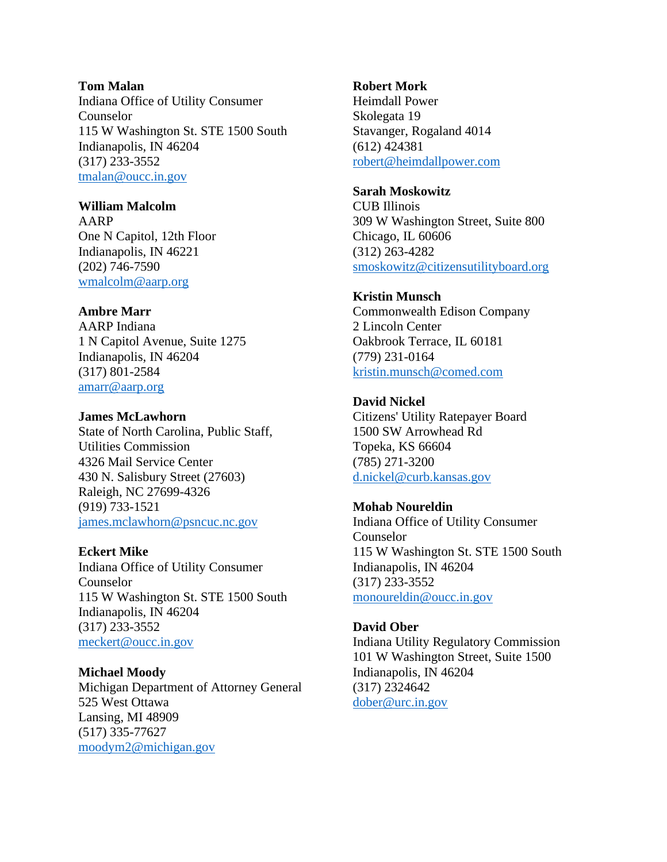### **Tom Malan**

Indiana Office of Utility Consumer Counselor 115 W Washington St. STE 1500 South Indianapolis, IN 46204 (317) 233-3552 [tmalan@oucc.in.gov](mailto:tmalan@oucc.in.gov)

### **William Malcolm**

AARP One N Capitol, 12th Floor Indianapolis, IN 46221 (202) 746-7590 [wmalcolm@aarp.org](mailto:wmalcolm@aarp.org)

## **Ambre Marr**

AARP Indiana 1 N Capitol Avenue, Suite 1275 Indianapolis, IN 46204 (317) 801-2584 [amarr@aarp.org](mailto:amarr@aarp.org)

### **James McLawhorn**

State of North Carolina, Public Staff, Utilities Commission 4326 Mail Service Center 430 N. Salisbury Street (27603) Raleigh, NC 27699-4326 (919) 733-1521 [james.mclawhorn@psncuc.nc.gov](mailto:james.mclawhorn@psncuc.nc.gov)

# **Eckert Mike**

Indiana Office of Utility Consumer Counselor 115 W Washington St. STE 1500 South Indianapolis, IN 46204 (317) 233-3552 [meckert@oucc.in.gov](mailto:meckert@oucc.in.gov)

# **Michael Moody**

Michigan Department of Attorney General 525 West Ottawa Lansing, MI 48909 (517) 335-77627 [moodym2@michigan.gov](mailto:moodym2@michigan.gov)

### **Robert Mork**

Heimdall Power Skolegata 19 Stavanger, Rogaland 4014 (612) 424381 [robert@heimdallpower.com](mailto:robert@heimdallpower.com)

# **Sarah Moskowitz**

CUB Illinois 309 W Washington Street, Suite 800 Chicago, IL 60606 (312) 263-4282 [smoskowitz@citizensutilityboard.org](mailto:smoskowitz@citizensutilityboard.org)

### **Kristin Munsch**

Commonwealth Edison Company 2 Lincoln Center Oakbrook Terrace, IL 60181 (779) 231-0164 [kristin.munsch@comed.com](mailto:kristin.munsch@comed.com)

# **David Nickel**

Citizens' Utility Ratepayer Board 1500 SW Arrowhead Rd Topeka, KS 66604 (785) 271-3200 [d.nickel@curb.kansas.gov](mailto:d.nickel@curb.kansas.gov)

# **Mohab Noureldin**

Indiana Office of Utility Consumer Counselor 115 W Washington St. STE 1500 South Indianapolis, IN 46204 (317) 233-3552 [monoureldin@oucc.in.gov](mailto:monoureldin@oucc.in.gov)

### **David Ober**

Indiana Utility Regulatory Commission 101 W Washington Street, Suite 1500 Indianapolis, IN 46204 (317) 2324642 [dober@urc.in.gov](mailto:dober@urc.in.gov)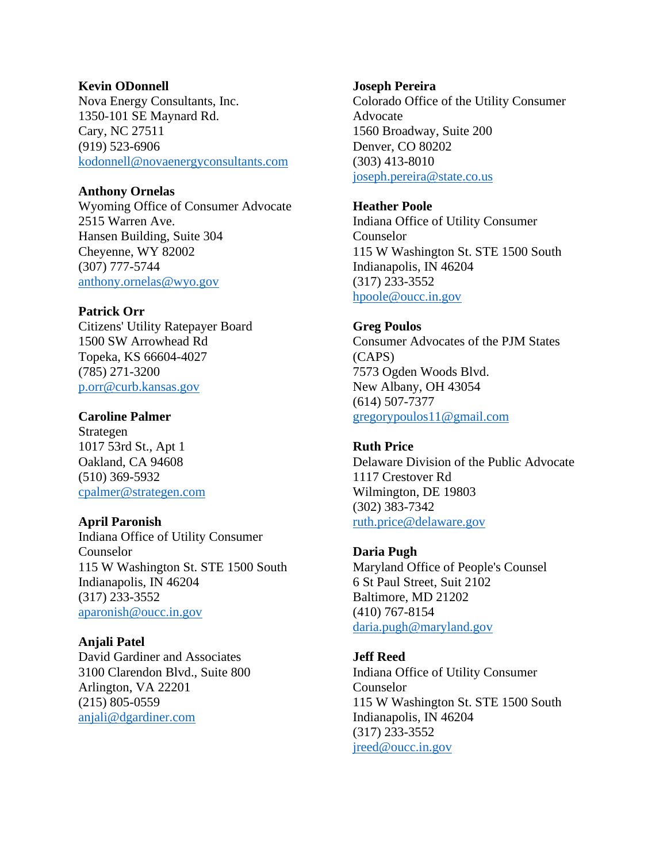### **Kevin ODonnell**

Nova Energy Consultants, Inc. 1350-101 SE Maynard Rd. Cary, NC 27511 (919) 523-6906 [kodonnell@novaenergyconsultants.com](mailto:kodonnell@novaenergyconsultants.com)

# **Anthony Ornelas**

Wyoming Office of Consumer Advocate 2515 Warren Ave. Hansen Building, Suite 304 Cheyenne, WY 82002 (307) 777-5744 [anthony.ornelas@wyo.gov](mailto:anthony.ornelas@wyo.gov)

# **Patrick Orr**

Citizens' Utility Ratepayer Board 1500 SW Arrowhead Rd Topeka, KS 66604-4027 (785) 271-3200 [p.orr@curb.kansas.gov](mailto:p.orr@curb.kansas.gov)

### **Caroline Palmer**

Strategen 1017 53rd St., Apt 1 Oakland, CA 94608 (510) 369-5932 [cpalmer@strategen.com](mailto:cpalmer@strategen.com)

### **April Paronish**

Indiana Office of Utility Consumer Counselor 115 W Washington St. STE 1500 South Indianapolis, IN 46204 (317) 233-3552 [aparonish@oucc.in.gov](mailto:aparonish@oucc.in.gov)

# **Anjali Patel**

David Gardiner and Associates 3100 Clarendon Blvd., Suite 800 Arlington, VA 22201 (215) 805-0559 [anjali@dgardiner.com](mailto:anjali@dgardiner.com)

### **Joseph Pereira**

Colorado Office of the Utility Consumer Advocate 1560 Broadway, Suite 200 Denver, CO 80202 (303) 413-8010 [joseph.pereira@state.co.us](mailto:joseph.pereira@state.co.us)

### **Heather Poole**

Indiana Office of Utility Consumer Counselor 115 W Washington St. STE 1500 South Indianapolis, IN 46204 (317) 233-3552 [hpoole@oucc.in.gov](mailto:hpoole@oucc.in.gov)

# **Greg Poulos**

Consumer Advocates of the PJM States (CAPS) 7573 Ogden Woods Blvd. New Albany, OH 43054 (614) 507-7377 [gregorypoulos11@gmail.com](mailto:gregorypoulos11@gmail.com)

# **Ruth Price**

Delaware Division of the Public Advocate 1117 Crestover Rd Wilmington, DE 19803 (302) 383-7342 [ruth.price@delaware.gov](mailto:ruth.price@delaware.gov)

# **Daria Pugh**

Maryland Office of People's Counsel 6 St Paul Street, Suit 2102 Baltimore, MD 21202 (410) 767-8154 [daria.pugh@maryland.gov](mailto:daria.pugh@maryland.gov)

# **Jeff Reed**

Indiana Office of Utility Consumer Counselor 115 W Washington St. STE 1500 South Indianapolis, IN 46204 (317) 233-3552 [jreed@oucc.in.gov](mailto:jreed@oucc.in.gov)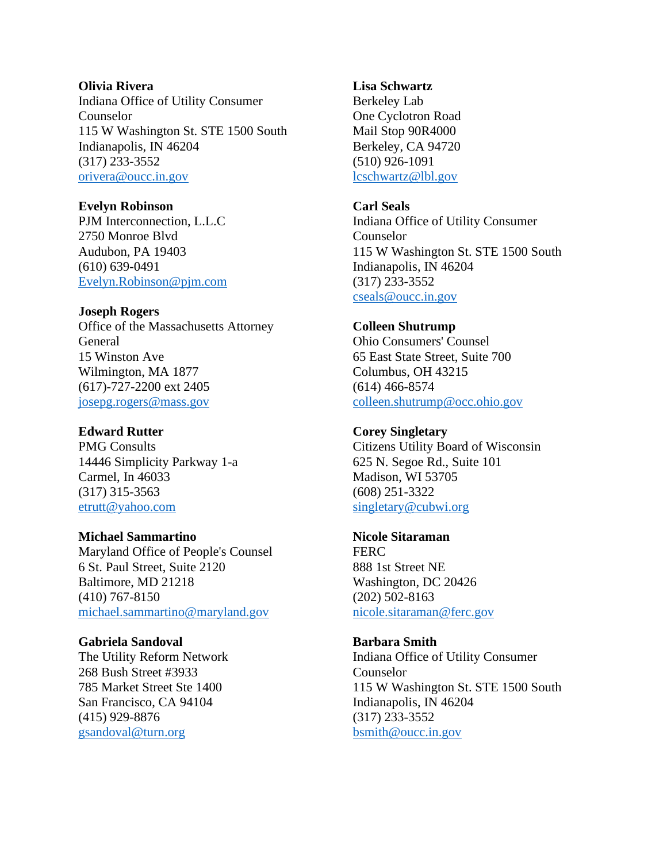### **Olivia Rivera**

Indiana Office of Utility Consumer Counselor 115 W Washington St. STE 1500 South Indianapolis, IN 46204 (317) 233-3552 [orivera@oucc.in.gov](mailto:orivera@oucc.in.gov)

# **Evelyn Robinson**

PJM Interconnection, L.L.C 2750 Monroe Blvd Audubon, PA 19403 (610) 639-0491 [Evelyn.Robinson@pjm.com](mailto:Evelyn.Robinson@pjm.com)

# **Joseph Rogers**

Office of the Massachusetts Attorney General 15 Winston Ave Wilmington, MA 1877 (617)-727-2200 ext 2405 [josepg.rogers@mass.gov](mailto:josepg.rogers@mass.gov)

# **Edward Rutter**

PMG Consults 14446 Simplicity Parkway 1-a Carmel, In 46033 (317) 315-3563 [etrutt@yahoo.com](mailto:etrutt@yahoo.com)

# **Michael Sammartino**

Maryland Office of People's Counsel 6 St. Paul Street, Suite 2120 Baltimore, MD 21218 (410) 767-8150 [michael.sammartino@maryland.gov](mailto:michael.sammartino@maryland.gov)

# **Gabriela Sandoval**

The Utility Reform Network 268 Bush Street #3933 785 Market Street Ste 1400 San Francisco, CA 94104 (415) 929-8876 [gsandoval@turn.org](mailto:gsandoval@turn.org)

# **Lisa Schwartz**

Berkeley Lab One Cyclotron Road Mail Stop 90R4000 Berkeley, CA 94720 (510) 926-1091 [lcschwartz@lbl.gov](mailto:lcschwartz@lbl.gov)

# **Carl Seals**

Indiana Office of Utility Consumer Counselor 115 W Washington St. STE 1500 South Indianapolis, IN 46204 (317) 233-3552 [cseals@oucc.in.gov](mailto:cseals@oucc.in.gov)

# **Colleen Shutrump**

Ohio Consumers' Counsel 65 East State Street, Suite 700 Columbus, OH 43215 (614) 466-8574 [colleen.shutrump@occ.ohio.gov](mailto:colleen.shutrump@occ.ohio.gov)

# **Corey Singletary**

Citizens Utility Board of Wisconsin 625 N. Segoe Rd., Suite 101 Madison, WI 53705 (608) 251-3322 [singletary@cubwi.org](mailto:singletary@cubwi.org)

# **Nicole Sitaraman**

**FERC** 888 1st Street NE Washington, DC 20426 (202) 502-8163 [nicole.sitaraman@ferc.gov](mailto:nicole.sitaraman@ferc.gov)

# **Barbara Smith**

Indiana Office of Utility Consumer Counselor 115 W Washington St. STE 1500 South Indianapolis, IN 46204 (317) 233-3552 [bsmith@oucc.in.gov](mailto:bsmith@oucc.in.gov)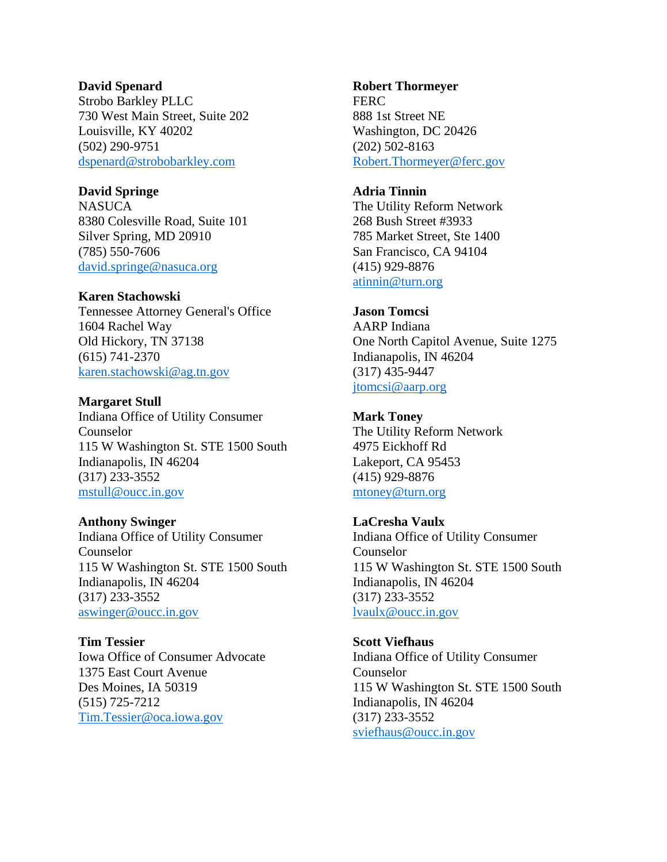### **David Spenard**

Strobo Barkley PLLC 730 West Main Street, Suite 202 Louisville, KY 40202 (502) 290-9751 [dspenard@strobobarkley.com](mailto:dspenard@strobobarkley.com)

# **David Springe**

**NASUCA** 8380 Colesville Road, Suite 101 Silver Spring, MD 20910 (785) 550-7606 [david.springe@nasuca.org](mailto:david.springe@nasuca.org)

# **Karen Stachowski**

Tennessee Attorney General's Office 1604 Rachel Way Old Hickory, TN 37138 (615) 741-2370 [karen.stachowski@ag.tn.gov](mailto:karen.stachowski@ag.tn.gov)

**Margaret Stull** Indiana Office of Utility Consumer Counselor 115 W Washington St. STE 1500 South Indianapolis, IN 46204 (317) 233-3552 [mstull@oucc.in.gov](mailto:mstull@oucc.in.gov)

# **Anthony Swinger**

Indiana Office of Utility Consumer Counselor 115 W Washington St. STE 1500 South Indianapolis, IN 46204 (317) 233-3552 [aswinger@oucc.in.gov](mailto:aswinger@oucc.in.gov)

**Tim Tessier** Iowa Office of Consumer Advocate 1375 East Court Avenue Des Moines, IA 50319 (515) 725-7212 [Tim.Tessier@oca.iowa.gov](mailto:Tim.Tessier@oca.iowa.gov)

### **Robert Thormeyer**

**FERC** 888 1st Street NE Washington, DC 20426 (202) 502-8163 [Robert.Thormeyer@ferc.gov](mailto:Robert.Thormeyer@ferc.gov)

# **Adria Tinnin**

The Utility Reform Network 268 Bush Street #3933 785 Market Street, Ste 1400 San Francisco, CA 94104 (415) 929-8876 [atinnin@turn.org](mailto:atinnin@turn.org)

# **Jason Tomcsi**

AARP Indiana One North Capitol Avenue, Suite 1275 Indianapolis, IN 46204 (317) 435-9447 [jtomcsi@aarp.org](mailto:jtomcsi@aarp.org)

### **Mark Toney**

The Utility Reform Network 4975 Eickhoff Rd Lakeport, CA 95453 (415) 929-8876 [mtoney@turn.org](mailto:mtoney@turn.org)

# **LaCresha Vaulx**

Indiana Office of Utility Consumer Counselor 115 W Washington St. STE 1500 South Indianapolis, IN 46204 (317) 233-3552 [lvaulx@oucc.in.gov](mailto:lvaulx@oucc.in.gov)

**Scott Viefhaus**

Indiana Office of Utility Consumer Counselor 115 W Washington St. STE 1500 South Indianapolis, IN 46204 (317) 233-3552 [sviefhaus@oucc.in.gov](mailto:sviefhaus@oucc.in.gov)